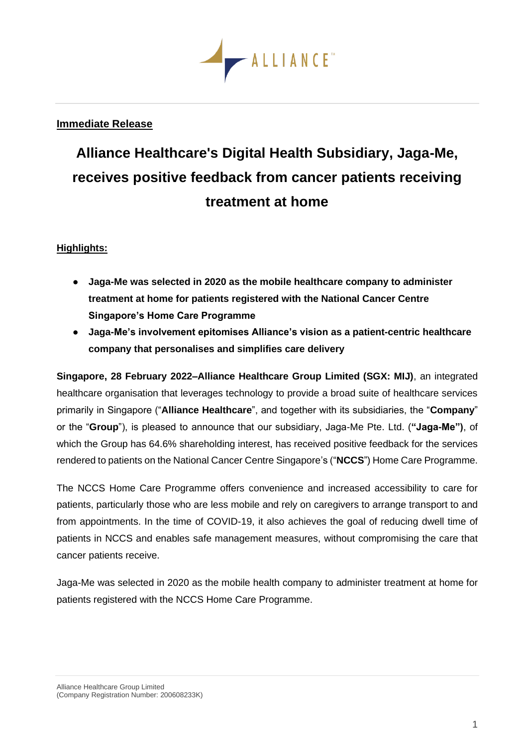

## **Immediate Release**

# **Alliance Healthcare's Digital Health Subsidiary, Jaga-Me, receives positive feedback from cancer patients receiving treatment at home**

## **Highlights:**

- **Jaga-Me was selected in 2020 as the mobile healthcare company to administer treatment at home for patients registered with the National Cancer Centre Singapore's Home Care Programme**
- **Jaga-Me's involvement epitomises Alliance's vision as a patient-centric healthcare company that personalises and simplifies care delivery**

**Singapore, 28 February 2022–Alliance Healthcare Group Limited (SGX: MIJ)**, an integrated healthcare organisation that leverages technology to provide a broad suite of healthcare services primarily in Singapore ("**Alliance Healthcare**", and together with its subsidiaries, the "**Company**" or the "**Group**"), is pleased to announce that our subsidiary, Jaga-Me Pte. Ltd. (**"Jaga-Me")**, of which the Group has 64.6% shareholding interest, has received positive feedback for the services rendered to patients on the National Cancer Centre Singapore's ("**NCCS**") Home Care Programme.

The NCCS Home Care Programme offers convenience and increased accessibility to care for patients, particularly those who are less mobile and rely on caregivers to arrange transport to and from appointments. In the time of COVID-19, it also achieves the goal of reducing dwell time of patients in NCCS and enables safe management measures, without compromising the care that cancer patients receive.

Jaga-Me was selected in 2020 as the mobile health company to administer treatment at home for patients registered with the NCCS Home Care Programme.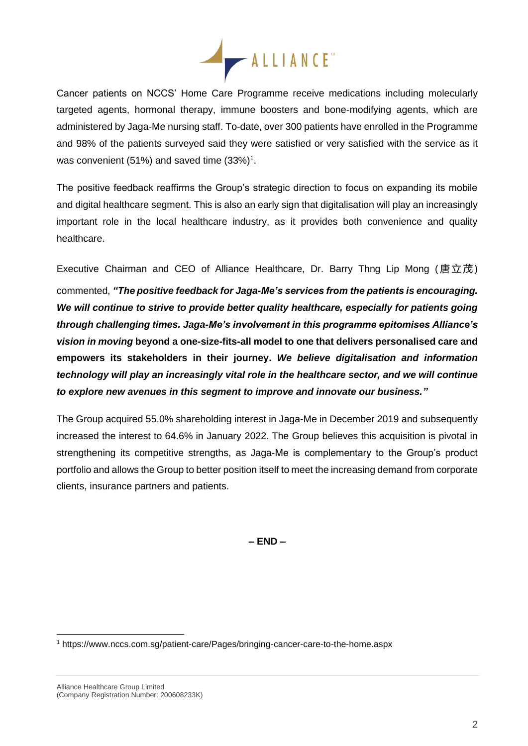

Cancer patients on NCCS' Home Care Programme receive medications including molecularly targeted agents, hormonal therapy, immune boosters and bone-modifying agents, which are administered by Jaga-Me nursing staff. To-date, over 300 patients have enrolled in the Programme and 98% of the patients surveyed said they were satisfied or very satisfied with the service as it was convenient (51%) and saved time  $(33\%)^1$ .

The positive feedback reaffirms the Group's strategic direction to focus on expanding its mobile and digital healthcare segment. This is also an early sign that digitalisation will play an increasingly important role in the local healthcare industry, as it provides both convenience and quality healthcare.

Executive Chairman and CEO of Alliance Healthcare, Dr. Barry Thng Lip Mong (唐立茂) commented, *"The positive feedback for Jaga-Me's services from the patients is encouraging. We will continue to strive to provide better quality healthcare, especially for patients going through challenging times. Jaga-Me's involvement in this programme epitomises Alliance's vision in moving* **beyond a one-size-fits-all model to one that delivers personalised care and empowers its stakeholders in their journey.** *We believe digitalisation and information technology will play an increasingly vital role in the healthcare sector, and we will continue to explore new avenues in this segment to improve and innovate our business."*

The Group acquired 55.0% shareholding interest in Jaga-Me in December 2019 and subsequently increased the interest to 64.6% in January 2022. The Group believes this acquisition is pivotal in strengthening its competitive strengths, as Jaga-Me is complementary to the Group's product portfolio and allows the Group to better position itself to meet the increasing demand from corporate clients, insurance partners and patients.

**– END –**

<sup>1</sup> https://www.nccs.com.sg/patient-care/Pages/bringing-cancer-care-to-the-home.aspx